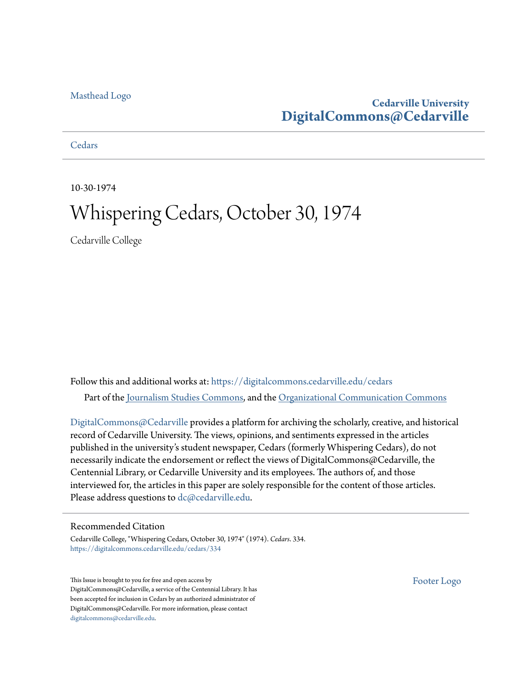## [Masthead Logo](http://www.cedarville.edu/?utm_source=digitalcommons.cedarville.edu%2Fcedars%2F334&utm_medium=PDF&utm_campaign=PDFCoverPages)

## **Cedarville University [DigitalCommons@Cedarville](https://digitalcommons.cedarville.edu?utm_source=digitalcommons.cedarville.edu%2Fcedars%2F334&utm_medium=PDF&utm_campaign=PDFCoverPages)**

**[Cedars](https://digitalcommons.cedarville.edu/cedars?utm_source=digitalcommons.cedarville.edu%2Fcedars%2F334&utm_medium=PDF&utm_campaign=PDFCoverPages)** 

10-30-1974

## Whispering Cedars, October 30, 1974

Cedarville College

Follow this and additional works at: [https://digitalcommons.cedarville.edu/cedars](https://digitalcommons.cedarville.edu/cedars?utm_source=digitalcommons.cedarville.edu%2Fcedars%2F334&utm_medium=PDF&utm_campaign=PDFCoverPages) Part of the [Journalism Studies Commons](http://network.bepress.com/hgg/discipline/333?utm_source=digitalcommons.cedarville.edu%2Fcedars%2F334&utm_medium=PDF&utm_campaign=PDFCoverPages), and the [Organizational Communication Commons](http://network.bepress.com/hgg/discipline/335?utm_source=digitalcommons.cedarville.edu%2Fcedars%2F334&utm_medium=PDF&utm_campaign=PDFCoverPages)

[DigitalCommons@Cedarville](http://digitalcommons.cedarville.edu/) provides a platform for archiving the scholarly, creative, and historical record of Cedarville University. The views, opinions, and sentiments expressed in the articles published in the university's student newspaper, Cedars (formerly Whispering Cedars), do not necessarily indicate the endorsement or reflect the views of DigitalCommons@Cedarville, the Centennial Library, or Cedarville University and its employees. The authors of, and those interviewed for, the articles in this paper are solely responsible for the content of those articles. Please address questions to [dc@cedarville.edu.](mailto:dc@cedarville.edu)

### Recommended Citation

Cedarville College, "Whispering Cedars, October 30, 1974" (1974). *Cedars*. 334. [https://digitalcommons.cedarville.edu/cedars/334](https://digitalcommons.cedarville.edu/cedars/334?utm_source=digitalcommons.cedarville.edu%2Fcedars%2F334&utm_medium=PDF&utm_campaign=PDFCoverPages)

This Issue is brought to you for free and open access by DigitalCommons@Cedarville, a service of the Centennial Library. It has been accepted for inclusion in Cedars by an authorized administrator of DigitalCommons@Cedarville. For more information, please contact [digitalcommons@cedarville.edu](mailto:digitalcommons@cedarville.edu).

[Footer Logo](http://www.cedarville.edu/Academics/Library.aspx?utm_source=digitalcommons.cedarville.edu%2Fcedars%2F334&utm_medium=PDF&utm_campaign=PDFCoverPages)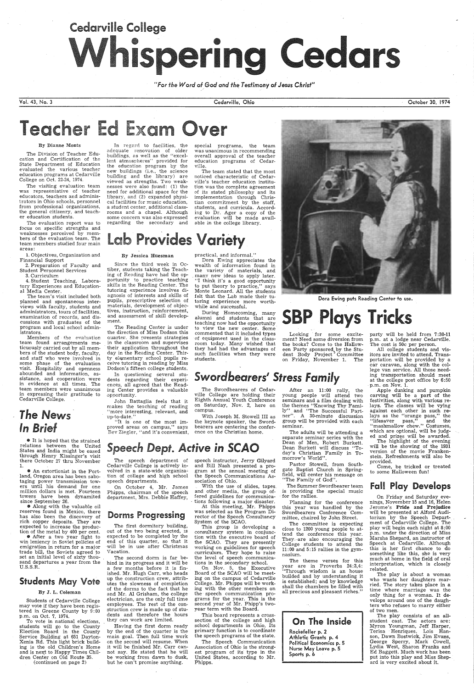# Cedarville College **•**

*"For the Word* of *God and the Testimony* of *Jesus Christ" /* 

Vol. 43, No. 3

#### By Dianne Monts

The Division of Teacher Education and Certification of the State Department of Education evaluated the various teacher education programs at Cedarville College on Oct. 22-24, 1974.

4. Student Teaching, Laboratory Experiences and Educational Media Center.

The visiting evaluation team was representative of teacher educators, teachers and administrators in Ohio schools, personnel from professional organizations, the general citizenry, and teacher education students.

The evaluation report was to focus on specific strengths and weaknesses perceived by members of the evaluation team. The team members studied four main areas:

1. Objectives, Organization and Financial Support

2. Preparation of Faculty and Student Personnel Services

3. Curriculum

adequate renovation of older buildings, as well as the "excellent atmospheres" provided for the education program by the new buildings (i.e., the science building and the library) are viewed as strengths. Two weaknesses were also found: (1) the need for additional space for the library, and (2) expanded physical facilities for music education, a student center, additional classrooms and a chapel. Although some concern was also expressed regarding the secondary and

Since the third week in Octiber, students taking the Teaching of Reading have had the opportunity to practice teaching skills in the Reading Center. The tutoring experience involves diagnosis of interests and skills of pupils, prescriptive selection of materials, development of objectives, instruction, reinforcement, and assessment of skill development.

The team's visit included both planned and spontaneous interviews with faculty, students and administrators, tours of facilities, examination of records, and discussions with graduates of the program and local school administrators.

In regard to facilities, the

#### By Jessica Huesman

party will be held from 7:30-11 p.m, at a lodge near Cedarville. The cost is 50c per person.

Members of the evaluation team found arrangements meticuously carried out by all members of the student body, faculty, and staff who were involved in some phase of the evaluation visit. Hospitality and openness abounded and information, assistance, and cooperation were in evidence at all times. The team members were unanimous in expressing their gratitude to Cedarville College.

The Reading Center is under the direction of Miss Dodson this quarter. She presents strategies in the classroom and supervises their application throughout the day in the Reading Center. Thirty elementary school pupils receive tutoring in reading by Miss Dodson's fifteen college students.

Cedarville, Ohio

## cher Ed Exam Over

 $\bullet$  It is hoped that the strained relations between the United States and India might be eased through Henry Kissinger's visit there October 27 thru November 1.

special programs, the team was unanimous in recommending overall approval of the teacher education programs of Cedarville.

The team stated that the most noticed characteristic of Cedarville's teacher education institution was the complete agreement of its stated philosophy and its implementation through Christian commitment by the staff, students, and curricula. According to Dr. Ager a copy of the evaluation will be made available in the college library.

## **Lab Provides Variety**

practical, and informal." Dora Ewing appreciates the

John Battaglia feels that it makes the teaching of reading "more interesting, relevant, and up-to-date."

wealth of information found in the variety of materials, and many new ideas to apply later. "I think it's a good opportunity to put theory to practice," says Monte Leonard. All the students felt that the Lab made their tutoring experience more worthwhile and successful.

During Homecoming, many alumni and students that are teaching now had the opportunity to view the new center. Some commented that it included types of equipment used in the classroom today. Many wished that they had had the advantages of such facilities when they were students.

## **Swordbearers' Stress Family**

October 30, 1974



**SBP Plays Tricks** 

Looking for some excitement? Need some diversion from the books? Come to the Halloween Party sponsored by the Student Body ProJect · Committee on Friday, November 1. The

In questioning several students regarding their experiences, all agreed that the Reading Center provides a valuable opportunity.

After an 11:00 rally, the young people will attend two seminars and a film dealing with the themes "Knowing Thy Family" and "The Successful Partner''. A 30-minute discussion group will be provided with each seminar.

All college students and visitors are invited to attend. Transportation will be provided by a car caravan, along with the college van service. All those needing transportation should meet at the college post office by 6:50 p.m. on Nov. 1.

## *The* News *In Briel*

• An extortionist in the Portland, Oregon area has been sabotaging power transmission towers until his demand for one million dollars is met. Fourteen towers have been dynamited since September 26.

Apple dunking and pumpkin carving will be a part of the festivities, along with various relays. The classes will be vying against each other in such relays as the "orange pass," the "lifesaver pass," and the "mashmallow chew." Costumes, which are optional, will be judged and prizes will be awarded.

• Along with the valuable oil reserves found in Mexico, there has also been the discovery of rich copper deposits. They are expected to increase the production of the metal by 400 per cent.

The highlight of the evening will be the showing of the 1931 version of the movie Frankenstein. Refreshments will also be provided.

Jerome's Pride and Prejudice will be presented at Alford Auditorium by the Speech Department of Cedarville College. The play will begin each night at 8:00 p.m. under the direction of Miss Marsha Shepard, an instructor of Speech at Cedarville. Although this is her first chance to do something like this, she is very much at home in the field of oral interpretation, which is closely related.

• After a two year fight to win leniency in Soviet policies of emigration in return for a major trade bill, the Soviets agreed to set an initial level of sixty thousand departures a year from the U.S.S.R.

## Students May Vote

### By J. L. Coleman

Students of Cedarville College may vote if they have been registered in Greene County by 9: 00 p.m. on Oct. 7, 1974.

To vote in national elections, students will go to the County Election Board in the County Service Building at 651 Dayton-Xenia Rd. This light brick building is the old Children's Home and is next to Happy Times Children Center on Old Route 35. (continued on page 2)

"It is one of the most improved areas on campus," says Bev Ziegler, "and it's convenient,

The Swordbearers of Cedarville College are holding their Eighth Annual Youth Conference on Saturday, Nov. 2, here on campus.

With Joseph M. Stowell III as the keynote speaker, the Swordbearers are centering the conference on the Christian home.



The speech department of Cedarville College is actively involved in a state-wide organization of college and high school speech departments.

On October 4, Mr. James Phipps, chairman of the speech department, Mrs. Debbie Haffey,

## Dorms Progressing

The first dormitory building, out of the two being erected, 1s expected to be completed by the end of this quarter, so that it will be in use after Christmas Vacation.

The second dorm is far behind in its progress and it will be a few months before it is finished. Mr. Hugh Carr, who heads up the construction crew, attributes the slowness of completion of the dorms to the fact that he and Mr. AI Grisham, the college electrician, are the only full time employees. The rest of the construction crew is made up of students and therefore the hours they can work are limited.

Having the first dorm ready by the end of the quarter is the main goal. Then full time work on the second will resume. When it will be finished Mr. Carr cannot say. He stated that he will be working from dawn to dusk, but he can't promise anything.

speech instructor, Jerry Gilyard and Bill Nash presented a program at the annual meeting of the Speech Communications As-

sociation of Ohio.

With the use of slides, tapes. and other media, the group of-

-

tions following a major disaster.

At this meeting, Mr. Phipps was selected as the Program Director of the Speech Consultancy System of the SCAO.

This group is developing a consultancy system in conjunction with the executive board of the SCAO. They are presently working on guidelines for speech curriculum. They hope to raise the level of speech communications in the secondary school.

On Nov. 5, the Executive Board of the SCAO will be meeting on the campus of Cedarville College. Mr. Phipps will be working with the other members on the speech communication programs for the year. This is the second year of Mr. Phipp's twoyear term with the Board.

This board represents a crosssection of the college and high school departments in Ohio, Its primary function is to coordinate the speech programs of the state.

fered guidelines for communica- · for the rallies. The Summer Swordbearer team is providing the special music

The Speech Communication Association of Ohio is the strongest program of its type in the United States, according to Mr. Phipps. .

The adults will be attending a separate seminar series with the Dean of Men, Robert Burkett. Dean Burkett will discuss "Today's Christian Family in Tomorrow's World".

Pastor Stowell, from Southgate Baptist Church in Springfield, will center his message on "The Family of God".

Planning for the conference

this year was handled by the Swordbearers Conference Committee, chaired by John Street.

The committee is expecting close to 1200 young people to attend the conference this year. They-are also encouraging the College students to attend the  $11:00$  and  $5:15$  rallies in the gymnasium.

The theme verses for this year are in Proverbs 24:3,4: "Through wisdom is an house builded and by understanding it is established; and by knowledge shall the chambers be filled with all precious and pleasant riches."



Come, be tricked or treated to some Halloween fun!

## Fall Play Develops

On Friday and Saturday evenings, November 15 and 16, Helen

The play is about a woman who wants her daughters married. The story takes place in a time where marriage was the only thing for a woman. It develops around one of the daughters who refuses to marry either of two men.

The play consists of an allstudent cast. The actors are: Myron Youngman, Jeff Harper, Terisa · Henriques, Lois Hanson, Dawn Bostwick, Jim Evans, George Sperry, Mark Cowell, Lydia West, Sharon Franks and Ed Baggett. Much work has been put into this play and Miss Shepard is very excited about it.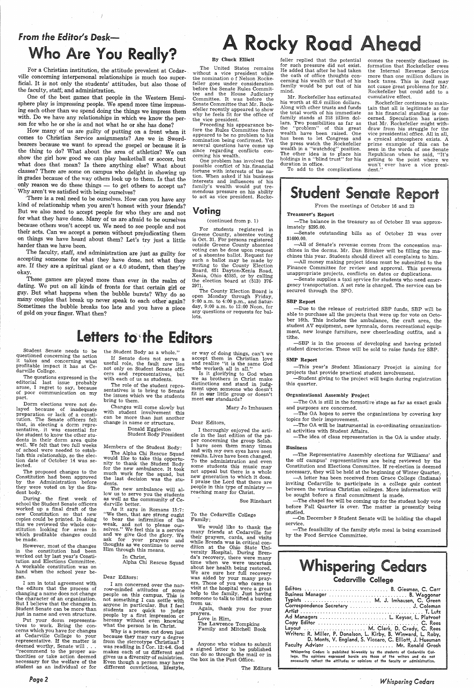# **From the Editor's Desk—**

For a Christian institution, the attitude prevalent at Cedar- . ville concerning interpersonal relationships is much too superficial. It is not only the students' attitudes, but also those of the faculty, staff; and administration.

How many of us are guilty of putting on a front when it comes to Christian Service assignments? Are we in Swordbearers because we want to spread the gospel or because it is the thing to do? What about the area of athletics? We can show the girl how good we can play basketball or soccer, but what does that mean? Is there anything else? What about classes? There are some on campus who delight in showing up in grades because of the way others look up to them. Is that the only reason we do these things - to get others to accept us? Why aren't we satisfied with being ourselves?

One of the best games that people in the Western Hemisphere play is impressing people. We spend more time impressing each other than we spend doing the things we impress them with. Do we have any relationships in which we know the person for who he or she is and not what he or she has done?

·There is a real need to be ourselves. How can you have any kind of relationship when you aren't honest with your friends? But we also need to accept people for who they are and not for what they have done. Many of us are afraid to be ourselves because others won't accept us. We need to see people and not their acts. Can we accept a person without prejudicating them on things we have heard about them? Let's try just a little harder than we have been.

For students registered in<br>Greene County, absentee voting is Oct. 31. For persons registered outside Greene County absentee of a absentee ballot. Request for<br>such a ballot may be made by writing to the County Election Board, 651 Dayton-Xenia Road, Xenia, Ohio 45385, or by calling the election board at (513) 376- 2971.

The faculty, staff, and administration are just as guilty for accepting someone for what they have done, not what they are. If they are a spiritual giant or a 4.0 student, then they're okay.

These games are played more than ever in the realm of dating. We put on all kinds of fronts for that certain girl or guy. But what happens when the bubble bursts? Why do so many couples that break up never speak to each other again? Sometimes the bubble breaks too late and you have a piece of gold on your finger. What then?

## Letters to the Editors

### By Chuck Elliott

During the first week of chool the Student Senate officers

The United States remains without a vice president while the nomination of Nelson Rockefeller goes under consideration before the Senate Rules Committee and the House Judiciary Committee. It was before the Senate Committee that Mr. Rockefeller recently appeared to show why he feels fit for the office of the vice president.

I am in total agreement with the editors that the process of<br>changing a name does not change the character of an organization. But I believe that the changes in Student Senate can be more than just in name and even structure.

Preceding his appearance before the Rules Committee there appeared to be no problem to his nomination being confirmed. Yet<br>several questions have come up since regarding conflicts concerning his wealth.

One problem has involved the possible conflict of his. financial fortune with interests of the nation. When asked if his business interests and influences of his family's wealth would put tre mendous pressure on his ability to act as vice president. Rocke-

Voting

#### (continued from p. 1)

Why is <sup>a</sup>person cut down just because they may vary a degree from the stereotype Christian? <sup>I</sup> was readiing in I Cor. 12:4-6. God makes each of us different and gives us a diversity-of ministries. Even though a person may have different convictions, lifestyle,

The County Election Board is open Monday through Friday, 9:00 a.m. to 4:00 p.m., and Saturday, 9:00 a.m. to 12:00 Noon, for any questions or requests for ballots.

Student Senate needs to be questioned concerning the action it takes and concerning what profitable impact it has at Cedarville College.

The questions expressed in the editorial last issue probably arose, I regret to say, because of poor communication on my part.

Dorm elections were not delayed because of inadequate preparation or lack of a constitution. The Senate officers felt that, in electing a dorm repre sentative, it was essential for the student to know the other students in their dorm area quite well. We felt that two full weeks of school were needed to establish this relationship, so the election date of October 14 was selected.

> We would like to thank the many friends at Cedarville for their prayers, cards, and visits while Brenda was in critical condition at the Ohio State University Hospital. During Brenda's recovery, there were many time when we were uncertain about her health being restored. We are sure her full recovery was aided by your many prayers. Those of you who came to<br>visit at the hospital were a great visit at the hospital were a great help to the family. Just having someone to talk to lifted a burden from *us:*

The proposed changes to the Constitution had been approved by the Administration before they were voted on by the Student body.

worked up a final draft of the new Constitution so that new copies could be printed. In doing this we reviewed the whole constitution looking for areas in which profitable changes could be made.

However, most of the changes in the constitution had been worked out by last year's Constitution and Elections Committee. A workable constitution was on hand when the school year began.

--All of Senate's revenue comes from the concession machines in .the dorms. Mr. Dan Bittaker will be filling the machines this year. Students should direct all complaints to him.

Put your dorm representa tives to work. Bring the concerns which you have for changes at Cedarville College to your representative. If the matter is deemed worthy, Senate will . . . "recommend to the proper au thorities or take action deemed necessary for the welfare of the student as an individual or for

--All money making project ideas must be submitted to the Finance Committee for review and approval. This prevents unappropriate projects, conflicts on dates or duplications.

*Page2* 

the Student Body as a whole."

If Senate does not serve <sup>a</sup> useful role, the fault now lies not only on Student Senate officers and representatives, but with each of us as students.

The role of the student repre sentatives is to bring to Senate the issues which we the students bring to them.

 $-$ The OA is still in the formative stage as far as exact goals and purposes are concerned.

Changes will come slowly but with student involvement this can be more than just another change in name or structure.

Donald Eggleston

Student Body President

Members of the Student Body:

The Alpha Chi Rescue Squad would like to take this opportu for the new ambulance. It took<br>much work for the squad, but the last decision was the students.

The new ambulance will allow us to serve you the students as well as the community of Ce- darville better.

# om the Editor's Desk—<br>
Who Are You Really?<br>
By Chuck Elliott Celler replied that the potential comes the recently d

-On December 9 Student Senate will be holding the chapel service.

As it says in Romans 15 :7: "We then, that are strong ought to bear the infirmities of the weak, and not to please our-<br>selves.'' We feel this is a service and we give God the glory. We ask for your prayers and thoughts as we continue to serve Him through this means.

> In Christ, Alpha Chi Rescue Squad

### Dear Editors:

I am concerned over the narrow-minded attitudes of some people on this campus. This is not something I can settle with anyone in particular. But I feel students are quick to judge people by a first impression or heresay without even knowing what the person is in Christ. or way of doing things, can't we accept them in Christian love and realize "it is the same God who worketh all in all."

Is it glorifying to God when we as brothers in Christ make distinctions and stand in judgment upon someone who doesn't fit in our little group or doesn't meet our standards?

Mary Jo Imhausen

#### Dear Editors,

<sup>I</sup>thoroughly enjoyed the article in the last edition of the paper concerning the group Selah. <sup>I</sup>have seen them many times and with my own eyes have seen results. Lives have been changed. To the administration and even some students this music may not appeal but there is a whole new generation to which it does. praise the Lord that there are people in this type of ministry reaching many for Christ.

Sue Rinehart

To the Cedarville College Family;

Again, thank you for your prayers.

Love in Him,

The Lawrence Tompkins Family and Mitchell Book

Anyone who wishes to submit a signed letter to be published can do so through the mail or in the box in the Post Office.

The Editors

feller replied that the potential for such pressure did not exist. He added that after he had taken the oath of office thoughts concerning his wealth or that of his family would be put out of his mind.

Mr. Rockefeller has estimated his worth at 62.6 million dollars. Along with other trusts and funds the total worth of his immediate family stands at 218 iillion dollars. Two possibilities as far as<br>the "problem" of this great "problem" of this great wealth have been raised. One has been to let Congress and the press watch the Rockefeller wealth in a "watchdog" position. The other idea is to p1ace his holdings in a "blind trust" for his duration in office.

To add to the complications

comes the recently disclosed information that Rockefeller owes the Internal Revenue Service more than one million dollars in back taxes. This in itself may not cause 'great problems for Mr. Rockefeller but could add to <sup>a</sup> cumulative effect.

Rockefeller continues to maintain that all is legitimate as far as his financial standing is concerned. Speculation has arisen that Mr. Rockefeller might withdraw from his struggle for the vice presidential office. All in all, a cynical atmosphere exists. A prime example of this can be seen in the words of one Senate Republican when he said, "It's getting to the point where we won't ' ever have a vice presi-dent."

## **Student Senate Report**

From the meetings of October 16 and 23

Treasurer's Report

-The balance in the treasury as of October 23 was approx imately \$295.00.

-Senate outstanding bills as of October 23 was over \$1600.00.

-Senate supplies a taxi service for students who need emergency transportation. A set rate is charged. The service can be secured through the SPO.

#### SBP Report

-Due to the release of restricted SBP funds, SBP will be able to purchase all the projects that were up for vote on October 16th. This includes the ambulance, the craft area, the student AV equipment, new hymnals, dorm recreational equipment, new lounge furniture, new cheerleading outfits, and <sup>a</sup> tithe.

-SBP is in the process of developing and having printed student directories. These will be sold to raise funds for SBP.

#### SMP Report

-This year's Student Missionary Proejct is aiming for projects that provide practical student involvement.

-Student giving to the project will begin during registration this quarter.

#### Organizational Assembly Project

-The OA hopes to serve the organizations by covering key topics for their improvement.

-The OA will be instrumental in co-ordinating orzanizational activities with Student Affairs.

-The idea of class representation in the OA is under study.

#### Business

-The Representative Assembly elections for Williams' and the off campus' representatives are being reviewed by the Constitution and Elections Committee. If re-election is deemed necessary, they will be held at the beginning of Winter Quarter,

-A letter has been received from Grace College (Indiana) inviting Cedarville to participate in a college quiz contest between the various Christian colleges. More information will be sought before a final commitment is made.

-The chapel fee will be coming up for the student body vote

before Fall Quarter is over. The matter is presently being studied.

-The feasibility of the family style meal is being examined by the Food Service Committee.

*Whispering Cedars*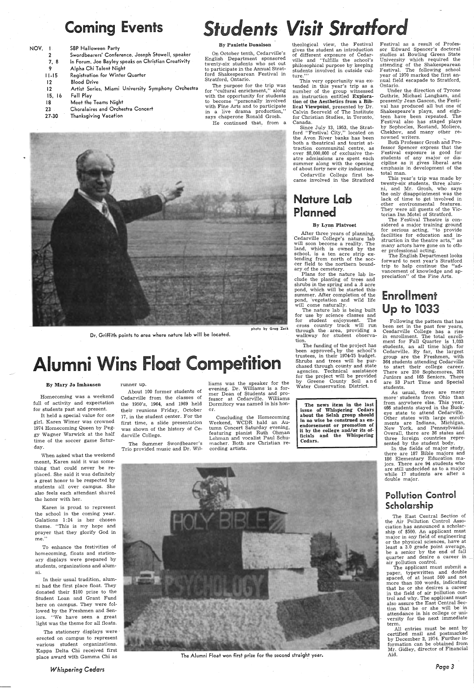## Coming Events

## nts Visit Strc

| NOV. |                | <b>SBP Halloween Party</b>                          |  |  |  |
|------|----------------|-----------------------------------------------------|--|--|--|
|      | 2              | Swordbearers' Conference. Joseph Stowell, speaker   |  |  |  |
|      | 7.8            | In Forum. Joe Bayley speaks on Christian Creativity |  |  |  |
|      | 9              | Alpha Chi Talent Night                              |  |  |  |
|      | $11 - 15$      | Registration for Winter Quarter                     |  |  |  |
|      | $12 \,$        | <b>Blood Drive</b>                                  |  |  |  |
|      | $\frac{12}{2}$ | Artist Series, Miami University Symphony Orchestra  |  |  |  |
|      | 15, 16         | Fall Play                                           |  |  |  |
|      | 18             | Meet the Teams Night                                |  |  |  |
|      | 23             | Choralaires and Orchestra Concert                   |  |  |  |
|      | 27-30          | Thanksgiving Vacation                               |  |  |  |
|      |                |                                                     |  |  |  |

### By Paulette Donalson

On October tenth, Cedarville's English Department sponsore<sup>d</sup> twenty-six students who set out to participate in the Annual Stratford Shakespearean Festival in Stratford, Ontario.

Homecoming was a weekend full of activity and expectation for students past and present.

The purpose for the trip was for "cultural enrichment," along with the opportunity for students to become ''personally involved with Fine Arts and to participate in a live drama production,' says chaperone Ronald Grosh.

He continued that, from <sup>a</sup>



Dr. Griffith points to area where nature lab will be located.

## i Wins Float Comp

#### By Mary Jo Imhausen

It held a special value for one <sup>g</sup>irl. Karen Wimer was crowned 1974 Homecoming Queen by Peggy Wagner Warwick at the half time of the soccer game Saturday.

theological view, the Festival <sup>g</sup>ives the student an. introduction of different exposure of Cedarville and "fulfills the school's <sup>p</sup>hilosophical purpose by keeping students involved in outside culture."

When asked what the weekend meant, Karen said it was some· thing that could never be re<sup>p</sup>laced. She said it was definitely <sup>a</sup>great honor to be respected by students all over campus. She also feels each attendant shared the honor with her.

Karen is proud to represen<sup>t</sup> the school in the coming year. Galations 1:24 is her chosen theme. "This is my hope and prayer that they glorify God in me."

To enhance the festivities of homecoming, floats and stationary displays were prepared by students, organizations and alumni.

In their usual tradition, alumni had the first place float. They donated their \$100 prize to the Student Loan and Grant Fund here on campus. They were followed by the Freshmen and Seniors. "We have seen a great light was the theme for all floats.

The stationery displays were erected on campus to represen<sup>t</sup> various student organizations. Kappa Delta Chi received first

#### runner up.

About 100 former students of Cedarville from the classes of the 1950's, 1964, and 1969 held their reunions Friday, October 17, in the student center. For the first time, a slide presentation was shown of the history of Cedarville College.

The Summer Swordbearer's Trio provided music and Dr. WilIiams was the speaker for the evening. Dr. Williams is a for mer Dean of Students and pro fessor at Cedarville. Williams Dormitory was named in his hon or.

Concluding the Homecoming Weekend, WCDR hald an Au tumn Concert Saturday evening, featuring pianist Ruth Ohman Lehman and vocalist Paul Schu macher. Both are Christian re cording artists.



Under the direction of Tyrone Guthrie, Michael Langham, and presently Jean Gascon, the Festival has produced all but one of Shakespeare's plays, and eighteen have been repeated. The Festival also has staged plays by Sophocles, Rostand, Moliere, Chekhov, and many other renowned writers.

This very opportunity was extended in this year's trip as <sup>a</sup> number of the group witnessed an instruction entitled Exploration of the Aesthetics from a Biblical Viewpoint, presented by Dr. Calvin Seerveld of The Institute for Christian Studies, in Toronto, Canada.

Since July 13, 1953, the Stratford "Festival City," located on the Avon River banks has been both a theatrical and tourist attraction communital centre, as over \$8,000,000 of exclusive theatre admissions are spent each summer along with the opening of about forty new city industries.

Cedarville College first became involved in the Stratford

## Nature Lab Planned

#### By Lynn Platvoet

After three years of planning, · Cedarville College's nature lab will soon become a reality. The land, which is owned by the school, is a ten acre strip extending from north of the soccer field to the northern boundary. of the cemetery.

Plans for the nature lab include the planting of trees and shrubs in the spring and a .8 acre pond, which will be started this, summer. After completion of the pond, vegetation and wild life will come naturally.

The nature lab is being built for use by science classes and<br>for student enjoyment. The for student enjoyment. cross country track will run through the . area, providing <sup>a</sup> walkway for student observation.

The funding of the project has been approved, by the school's trustees, in their 1974-75 budget. Shrubs and trees will be purchased through county and state agencies. Technical assistance for the project will be provided by Greene County Soil an <sup>d</sup> Water Conservation District.

The news item in the last issue of Whispering Cedars about the Selah group should in no wise be construed as enendorsement or promotion of it by the college and/or its officials and the Whispering Cedars.

*Whispering Cedars* 

place award with Gamma Chi as The Alumni Float won first prize for the second straight year.

Festival as a result of Professor Edward Spencer's doctoral studies at Bowling Green State University which required the attending of the Shakespearean Festival. The following school year of 1970 marked the first annual field escapade to Stratford, Ontario.

Both Professor Grosh and Professor Spencer express that the Festival exposure is good for students of any major or discipline as it gives liberal arts emphasis in development of the total man.

This year's trip was made by twenty-six students, three alumni, and Mr. Grosh, who says the only disappointment was the lack of time to get involved in other environmental features. They were all guests of the Victorian Inn Motel of Stratford.

The Festival Theatre is considered a major training ground for serious acting, "to provide facilities· for education and instruction in the theatre arts," as many actors have gone on to other professional acting.

The English Department looks forward to next year's Stratford trip to help continue the "advancement of knowledge and appreciation" of the Fine Arts.

## Enrollment Up to 1033

· Following the pattern that has been set in the past few years, Cesdarville College has a rise in enrollment. The total enrollment for Fall Quarter is 1,033 students, an all time high for Cedarville. By far, the largest group are the Freshmen, with 364 students attending Cedarville to start their college career. There are 250 Sophomores, 201 Juniors and 165 Seniors. There are 53 Part Time and Special students.

As usual, there are many more· students from Ohio than from anywhere else. This year; 466 students stayed in the Buckeye state to attend Cedarville. Other states with large enrollments are Indiana, Michigan, New York, and Pennsylvania. Overall, there are 36 states and three foreign countries represented by the student body.

In the fields of major study, there are 187 Bible majors and 186 Elementary Education majors. There are 94 students who are still undecided as to a major while 17 students are after <sup>a</sup> double major.

## Pollution Control Scholarship

The East Central Section of the Air Pollution Control Association has announced a scholarship of \$500. An applicant must major in any field of engineering or the physical sciences, have at least a 3.0 grade point average, be a senior by the end of fall quarter and desire a career in \_ air pollution control.

The applicant must submit <sup>a</sup> paper, typewritten and double spaced, of at least . 500 and not more than 550 words, indicating that he or she desires a career in the field of air pollution control and why. The applicant must also assure the East Central Section that he or she will be in attendance in his college or university for the next immediate term.

All entries must be sent by certified mail and postmarked by December 2, 1974. Further information can be obtained from Mr. Gidley, director of Financial Aid.

*Page 3*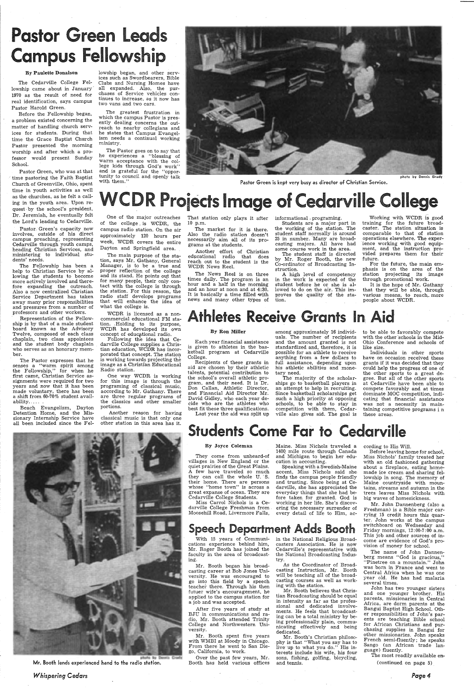## Pastor Green Leads **Campus Fellowship**

#### By Paulette Donalson

The Cedarville College Fellowship came about in January 1970 as the result of need for real identification, says campus Pastor Harold Green.

Before the Fellowship began, <sup>a</sup>problem existed concerning the matter of handling church services for students. During that time the Grace Baptist Church Pastor presented the morning worship and after which a professor would present Sunday School.

The Pastor goes on to say that be experiences a "blessing of warm acceptance with the college kids through God's work" and is grateful for the "opportunity to council and openly talk<br>with them."



Pastor Green is kept very busy as director of Christian Service.

photo by Dennis Grady

## **WCDR Projects Image of Cedarville College**

lowship began, and other services such as Swordbearers, Bible Clubs and Nursing Homes have all expanded. Also, the purchases of Service vehicles continues to increase, as it now has two vans and two cars.

The greatest frustration in which the campus Pastor is presently dealing concerns the outreach to nearby collegians and he states that Campus Evangelism needs a continual working ministry.

The Pastor expresses that he senses a "warm spirit among the Fellowship," for when he first came, Christian Service assignments were required for two years and now that it has been made voluntary; there has been a shift from 60-70% student availability....

Pastor Green, who was at that time pastoring the Faith Baptist Church of Greenville, Ohio, spent time in youth activities as well as the churches, as he felt a calling in the youth area. Upon request. by the school's president, Dr. Jeremiah, he eventually felt the Lord's leading to Cedarville.

> WCDR is licensed as a non commercial educational FM sta tion .. Holding to its purpose, WCDR has developed its own concept of educational radio.

Pastor. Green's capacity now involves, outside of his direct campus preaching, representing Cedarville through youth camps, heading Christian Services, and ministering to individual students' needs.

The Fellowship has been <sup>a</sup> help to Christian Service by allowing the students to become more actively involved and therefore expanding the outreach. Also a now centralized Christian Service Department has taken away many prior responsibilities and pressures from a number of professors and other workers.

Representation of the Fellowship is by that of a male student board known as the Advisory Twelve, composed of each class chaplain, two class appointees and the student body chaplain who serves as an honorary member.

A high level of competency in the work is expected of the student before he or she is allowed to do on the air. This improves the quality of the station.

Beach Evangelism, Dayton Detention Home, and the Missionary Internship Service have all been included since the Fel-

One of the major outreaches of the college . is WCDR, the campus radio station. On the air approximately 120 hours per week, WCDR covers the entire Dayton and Springfield area.

The main purpose of the sta tion, says Mr. Gathany, General Manager, is to be a true and proper reflection of the college and its stand. He points out that for many people, their only con tact with the college is through the station. For this reason, the radio staff develops programs<br>that will enhance the idea of what the college is.

Following the idea that Ce darville College supplies a Chris tian education, WCDR has incor porated that concept. The station is working towards projecting the image as a Christian Educational Radio station.

Individuals in other sports have on occasion received these grants if it was decided that they could help the progress of one of the other sports to a great degree. But all of the other sports at Cedarville have been able to compete favorably and at times dominate MOC competition, indicating that financial assistance was not a necessity in maintaining competitive programs i n these areas.

## **Students Come Far to Cedarville**

One way WCDR is working for this image is through the<br>programing of classical music, according to Mr. Gathany. There are three regular programs of the classics and other smaller portions.

Another reason for having classical music is that only one other station in this area has it.



Mr. Booth lends experienced hand to the radio station.

## *Whispering Cedars*

That station only plays it after informational . programing. 10 p.m.

The market for it is there. Also the radio station doesn't necessarily aim all of its programs at the students.

Another effort of Christian educational radio that does reach out to the student is the WCDR News Reel.

The News Reel is on three times daily. The program is an hour and a half in the morning and an hour at noon and at 4:30. It is basically a time filled with news and many other types of

Students are a major part in the working of the station. The student staff normally is around 25 in number. Many are broadcasting majors. All have had some course work in the area.

The student staff is directed by Mr. Roger Booth, the new Co-ordinator of Broadcasting Instruction.

Working with WCDR *is* good training for the future broad-caster. The station situation is comparable to that of station operations elsewhere. The exper- . ience working with good equipment, and the instruction provided prepares them for their future.

For the future, the main emphasis is on the area of the station projecting its image through promotional work.

It is the hope of Mr. Gathany that they will be able, through various means, to reach more people about WCDR.

## Athletes Receive Grants In Aid

#### By Ron Miller

Each year financial assistance is given to athletes in the basketball program at Cedarville College.

Recipients of these grants in aid are chosen by their athletic talents, potential contribution to the school's overall athletic program, and their need. It is Dr. Don Callan, Athletic Director, and Financial Aid Director Mr. David Gidley, who each year decide who are the athletes who best fit these three qualifications.

Last year the aid was split up

among approximately 16 individuals. The number of recipients and the amount granted is not standardized and, therefore, it is possible for an athlete to receive anything from a few dollars to full assistance, depending upon his athletic abilities and monetary need.

The majority of the scholarships go to basketball players in an attempt to help in recruiting. Since basketball scholarships ge<sup>t</sup> such a high priority at opposing schools, to be able to stay in competition with them, Cedarville also gives aid. The goal is to be able to.favorably compete with the other schools in the Mid-Ohio Conference and schools of like size.

#### By Joyce Coleman

They come from unheard-of villages in New England or the quiet prairies of the Great Plains. A few have traveled so much they can call the whole U. 'S. their home. There are persons whose "home town" is across <sup>a</sup> great expanse of ocean. They are Cedarville College Students.

Miss Carrol Nichols is a Ce-

Maine. Miss Nichols traveled <sup>a</sup> 140Q mile route through Canada and Michigan to begin her education in accounting.

darville College Freshman from . Moosehill Road, Livermore Falls, every detail of life to Him, acering the necessary surrender of

Speaking with a Swedish-Maine accent, Miss Nichols said she finds the campus people friendly and trusting. Since being at Cedarville, she has appreciated the everyday things that she had before taken for granted. God is working in her life. She's discov-

## Speech Department Adds Booth

With 15 years of Communications experience behind him, Mr. Roger Booth has joined the faculty in the area of broadcasting.

Mr. Booth began his broadcasting career at Bob Jones University. He was encouraged to go into this field by <sup>a</sup>speech teacher there. Through his then futuer wife's encouragement, he applied to the campus station for <sup>a</sup>job and was accepted.

After five years of study at BJU in communications and radio, Mr. Booth attended Trinity College and Northwestern University.

Mr. Booth spent five years with WMBI at Moody in Chicago. From there he went to San Diego, California, to work.

Over the past few years, Mr. Booth has held various offices in the National Religious Broadcasters Association. He is now Cedarville's representative with the National Broadcasting Industry.

As the Coordinator of Broadcasting Instruction, Mr. Booth will be teaching all of the broadcasting courses as well as working with the station.

Mr. Booth believes that Christian Broadcasting should be equal in intensity as far as the professional and dedicated involvements. He feels that broadcasting can be a total ministry by being professionally plain, communicating effectively and being dedicated.

Mr. Booth's Christian philosophy is that "What you say has to live up to what you do." His interests include his wife, his four sons, fishing, golfing, bicycling, and tennis.

cording to His Will.

Before leaving home for school, Miss Nichols' family treated her with an old fashioned gathering about a fireplace, eating homemade ice cream and sharing fellowship in song. The memory of Maine countryside with mountains, streams and autumn in the trees leaves Miss Nichols with big waves of homesickness.

Mr. John Dannenberg (also

Freshman) is a Bible major carrying 15 credit hours this quarter. John works at the campus switchboard on Wednesday and Friday mornings, 12:00-7:00 a.m. This job and other sources of income are evidence of God's provision of money for school.

The name of John Dannenberg means "God is gracious," "Pinetree on a mountain." John was born in France and went to Central Africa when he was one year old. He has had malaria several times.

John has two younger sisters and one younger brother. His parents, missionaries in Central Africa, are dorm parents at the Bangui Baptist High School. Other responsibilities of John's parents are teaching Bible school for African Christians and purchasing supplies in Bangui for other missionaries. John speaks French semi-fluently; he speaks Sango (an African trade language) fluently.

The most readily available en-

( continued on page 5)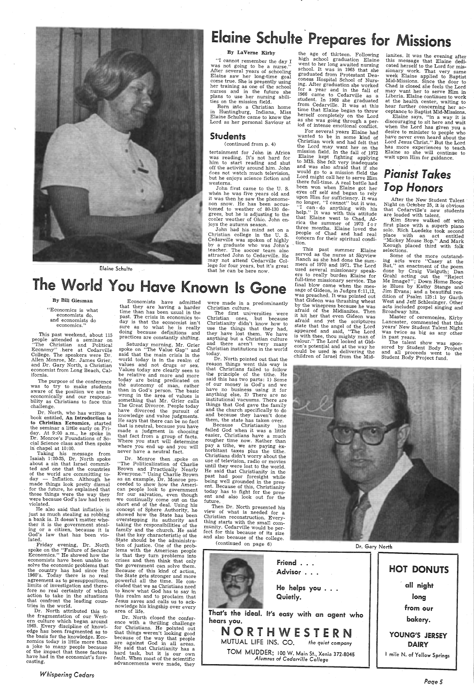

Elaine Schulte

## Elaine Schulte Prepares for Missions

### By Laverne Kirby

"I cannot remember the day <sup>I</sup> was not going to be a nurse."<br>After several years of schooling Elaine saw her long-time goal<br>come true. She is presently using her training as one of the school nurses and in the future she <sup>p</sup>lans to use her nursing abili- ties on the mission field.

 Born into a Christian home in Huntingburg, Indiana, Miss Elaine Schulte came to know the Lord as her personal Saviour at

John had his mind set on a Christian college in the U. S. Cedarville was spoken of highly by a graduate who was John's teacher. The soccer team also attracted John to Cedarville. He may not attend Cedarville College for four years, but it's great that he can be here now.

the age of thirteen. Following<br>high school graduation Elaine<br>went to her long awaited nursing school. It was in 1965 that she graduated from Protestant Deaconess Hospital School of Nurs ing. After graduation she worked<br>for a year and in the fall of 1966 came to Cedarville as a student. In 1968 she graduated from Cedarville. It was at this time that Elaine began to throw from Cedarville. It was at this herself completely on the Lord<br>as she was going through a peras she was going through a per-<br>iod of intense emotional conflict.

## Students

#### (continued from p. 4)

tertainment for John in Africa was reading. It's not hard for him to start reading and shut off the activity around him. John does not watch much television, but he enjoys science fiction and westerns.

John first came to the U. S. when he was five years old and it was then he saw the phenomenon snow. He has been accustomed to weather of 80-130 degrees, but he is adjusting to the cooler weather of Ohio. John enjoys the autumn season.

For several years Elaine had wanted to be in some kind of Christian work and had felt that the Lord may want her on the mission field. In the fall of 1972 Elaine kept fighting applying Elaine kept fighting applying to MIS. She felt very inadequate and was also afraid that if she would go to a mission field the Lord might call her to serve Him there full-time. A real battle had been won when Elaine got her eyes off self and began to rely upon Him for sufficiency. It was<br>no longer, "I cannot" but it was, "I can - do anything with his "I can-do anything with his<br>help." It was with this attitude that Elaine went to Chad, Af- rica the summer of 1973 f o r three months. Elaine loved the people of Chad and had real concern for their spiritual condi-<br>tion.

This past summer Elaine<br>served as the nurse at Skyview Ranch as she had done the summers of 1970 and 1971. The Lord used several missionary speakers to really burden Elaine for<br>full-time missionary service. The final blow came when the message of Gideon, in Judges 6:11,12,<br>was preached. It was pointed out that Gideon was thrashing wheat by the winepress because he was afraid of the Midianites. Then it hit her that even Gideon was afraid and yet the scriptures state that the angel of the Lord appeared and said, "The Lord. is with thee, thou mighty man of valour." The Lord looked at Gidcould be used in delivering the<br>children of Israel from the Mid-**By Bill Giesman** Economists have admitted were made in a predominantly that Gideon was thrashing wheat West and Jeff Schlesinger. Other<br>
"Economics is what time than has been usual in the first universities were it hit he

After the New Student Talent Night on Odober 25, it is obvious that Cedarville's new students are loaded with talent.

 Kim Stowe walked off with first place with a superb piano solo. Rich Luedeke took second place with an act entitled "Mickey Mouse Bop." And Mark Keough placed third with folk Keough placed third with folk<br>selections.

Some of the more outstanding acts were "Casey at the<br>Bat," an enactment of the poem done by Craig Vielguth; Dan Grahl acting out the "Reject Me Image?"; Down Home Boog-<br>ie Blues by Kathy Stange and Jim Evans; and a beautiful rendition of Psalm 125:1 by Garth West and Jeff Schlesinger. Other<br>acts included gospel singing and

This past weekend, about 115 people attended a seminar on "The Christian and Political Economy" . here at Cedarville College. The speakers were Dr.<br>Allen Monroe, Mr. James Grier,<br>and Dr. Gary North, a Christian and Dr. Gary North, a Christian<br>economist from Long Beach, California.

Dr. North, who has written a book entitled, An Introduction to to Christian Ecnomics, started<br>the seminar a little early on Friday. At 9:00 a.m., he spoke in Dr. Monroe's Foundations of Social Science class and then spoke<br>in chapel at 10:00.<br>Taking his message from

ianites. It was the evening after this message that Elaine dedicated herself to the Lord for missionary work. That very same week Elaine applied to Baptist Mid-Missions. Since the door to Chad is closed she feels the Lord may want her to serve Him in Liberia. Elaine continues to work at the health center, waiting to hear further concerning her ac-

Isaiah 1:20-25, Dr. North spoke about a sin that Israel committed and one that the countries of the world are committing today  $-$  Inflation. Although he made things look pretty dismal for the future, he explained that those things were the way they were because God's law had been violated.

ceptance to Baptist Mid-Missions. Elaine says, "in a way it is<br>discouraging to sit here and wait<br>when the Lord has given you a when the Lord has given you allow a desire to minister to people who have never even heard about the Lord Jesus Christ." But the Lord has more experiences to teach Elaine so she will continue to wait upon Him for guidance.

## *Pianist Takes*  Top Honors



Saturday morning, Mr. Grier spoke on "The Value Gap" and said that the main crisis in the world today is in the realm of Values today are clearly seen to be relative and more and more today are being predicated on the autonomy of man, rather<br>than in God's person. The basic wrong in the area of values is something that Mr. Grier calls<br>The Great Divorce. People today have divorced the pursuit of<br>knowledge and value judgments.<br>He says that there can be no fact that is neutral, because you have made a judgment in choosing<br>that fact from a group of facts.<br>Where you start will determine where you end up and you will never have a neutral fact.

and economists do economics."

The purpose of the conference was to try to make students aware of the position we are in<br>economically and our responsieconomically and our responsi- bility as Christians to face this challenge.

Master of ceremonies, Kirby Lancaster, commented that this years' New Student Talent Night was twice as big as any other<br>in past years.<br>The talent show was spon-

sored by Student Body Project and all proceeds went to the Student Body Project fund.

 He also said that inflation is just as much stealing as robbing <sup>a</sup>bank is. It doesn't matter whether it is the government steal ing or a citizen, because it is God's law that has been violated.

Friday evening, Dr. North spoke on the "Failure of Secular Economics." He showed how the economists have been unable to solve the economic problems that the country has had since the 1960's. Today there is no real agreement as to presuppositions, limits of investigation and there fore no real certainty of which action to take in the situations that confront the leading countries in the world.

Dr. North attributed this to the fragmentation of our West-1965. Every discipline of knowl-<br>edge has been fragmented as to the basis for the knowledge. Eco- nomics today is little more than <sup>a</sup>joke to many people because of the impact that these factors have had in the economist's forecasting.

*Whispering Cedars·* 

Economists have admitted that they are having a harder time than has been usual in the past. The crisis in economics today is that the economist isn't sure as to what he is really sure as to what he is really doing because definitions and practices are constantly shifting.

Dr. Monroe then .spoke on "The Politicalization of Charlie Brown and Practically Nearly<br>Everyone." Using Charlie Brown<br>as an example, Dr. Monroe proceeded to show how the Ameri-<br>can people look to government for our salvation, even though we continually come out on the short end of the deal concept of Sphere Authority, he showed how the State has been showed how the State has been taking the responsibilities of the family and the church. He said that the key characteristic of the State should be the administra-<br>tion of justice. One of the problems with the American people is that they turn problems into crises and then think that only the government can solve them. Because of this kind of action, the State gets stronger and more powerful all the time. He concluded that we as Christians need to know what God has to say in this realm and to proclaim that Jesus saves and calls us to acknowledge his kingship over every area of life. Dr. North closed the confer-<br>ence with a thrilling challenge for Christians. He pointed out that things weren't looking good because of the way that people are against God in all areas. He said that Christianity has a hard task, but it is our own fault. When most of the scientific advancements were made, they

were made in a predominantly Christian culture.

The first universities were Christian ones, . but because Christianity didn't know how to use the things that they had, they have lost them. We have anything but a Christian culture and there aren't very many Christian institutions in the world today.

Dr. North pointed out that the<br>reason things went this way is that Christians failed to follow the principle of the tithe. He said this has two parts: 1) Some of our money is God's and we have no business using it for anything else, 2) There are no institutional vacuums. There are things that God gave the family and the church specifically to do<br>and because they haven't done<br>them, the state has taken over.<br>Because Christianity has them, the state has taken over.

Because Christianity has failed God when it was a little easier, Christians have a much rougher time now. Rather than pay a tithe, we are paying ex- horbitant taxes plus the tithe. Christians didn't worry about the use of television, radio or movies until they were lost to the world. He said that Christianity in the being well grounded in the pres-<br>ent. Because of this, Christianity today has to fight for the present and also look out for the future.



Then Dr. North presented his view of what is needed for a Christian reconstruction. Every- thing starts with the small community. Cedarville would be perfect for this because of its size and also because of the college.

( continued on page 6) Dr. Gary North friend . **HOT DONUTS** Advisor . , all night He helps you . . . Quietly. long from our That's the ideal. It's easy with an agent who hears you. bakery. NORTHWESTERN YOUNG'S JERSEY MUTUAL LIFE INS. CO. *the quiet company*  DAIRY mile N. of Yellow Springs

TOM MUDDER; <sup>100</sup>W. Main St., Xenia 372-8045 *Alumnus of Cedarville College* 

*Paqe 5*